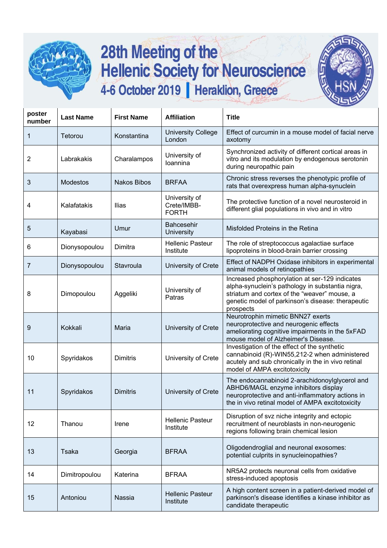

## 28th Meeting of the<br>Hellenic Society for Neuroscience 4-6 October 2019 | Heraklion, Greece



| poster<br>number | <b>Last Name</b> | <b>First Name</b>  | <b>Affiliation</b>                           | <b>Title</b>                                                                                                                                                                                                         |
|------------------|------------------|--------------------|----------------------------------------------|----------------------------------------------------------------------------------------------------------------------------------------------------------------------------------------------------------------------|
| 1                | Tetorou          | Konstantina        | <b>University College</b><br>London          | Effect of curcumin in a mouse model of facial nerve<br>axotomy                                                                                                                                                       |
| 2                | Labrakakis       | Charalampos        | University of<br>Ioannina                    | Synchronized activity of different cortical areas in<br>vitro and its modulation by endogenous serotonin<br>during neuropathic pain                                                                                  |
| 3                | <b>Modestos</b>  | <b>Nakos Bibos</b> | <b>BRFAA</b>                                 | Chronic stress reverses the phenotypic profile of<br>rats that overexpress human alpha-synuclein                                                                                                                     |
| 4                | Kalafatakis      | Ilias              | University of<br>Crete/IMBB-<br><b>FORTH</b> | The protective function of a novel neurosteroid in<br>different glial populations in vivo and in vitro                                                                                                               |
| 5                | Kayabasi         | Umur               | <b>Bahcesehir</b><br><b>University</b>       | Misfolded Proteins in the Retina                                                                                                                                                                                     |
| 6                | Dionysopoulou    | Dimitra            | <b>Hellenic Pasteur</b><br>Institute         | The role of streptococcus agalactiae surface<br>lipoproteins in blood-brain barrier crossing                                                                                                                         |
| 7                | Dionysopoulou    | Stavroula          | University of Crete                          | Effect of NADPH Oxidase inhibitors in experimental<br>animal models of retinopathies                                                                                                                                 |
| 8                | Dimopoulou       | Aggeliki           | University of<br>Patras                      | Increased phosphorylation at ser-129 indicates<br>alpha-synuclein's pathology in substantia nigra,<br>striatum and cortex of the "weaver" mouse, a<br>genetic model of parkinson's disease: therapeutic<br>prospects |
| 9                | Kokkali          | Maria              | University of Crete                          | Neurotrophin mimetic BNN27 exerts<br>neuroprotective and neurogenic effects<br>ameliorating cognitive impairments in the 5xFAD<br>mouse model of Alzheimer's Disease.                                                |
| 10               | Spyridakos       | <b>Dimitris</b>    | University of Crete                          | Investigation of the effect of the synthetic<br>cannabinoid (R)-WIN55,212-2 when administered<br>acutely and sub chronically in the in vivo retinal<br>model of AMPA excitotoxicity                                  |
| 11               | Spyridakos       | <b>Dimitris</b>    | University of Crete                          | The endocannabinoid 2-arachidonoylglycerol and<br>ABHD6/MAGL enzyme inhibitors display<br>neuroprotective and anti-inflammatory actions in<br>the in vivo retinal model of AMPA excitotoxicity                       |
| 12               | Thanou           | Irene              | <b>Hellenic Pasteur</b><br>Institute         | Disruption of svz niche integrity and ectopic<br>recruitment of neuroblasts in non-neurogenic<br>regions following brain chemical lesion                                                                             |
| 13               | <b>Tsaka</b>     | Georgia            | <b>BFRAA</b>                                 | Oligodendroglial and neuronal exosomes:<br>potential culprits in synucleinopathies?                                                                                                                                  |
| 14               | Dimitropoulou    | Katerina           | <b>BFRAA</b>                                 | NR5A2 protects neuronal cells from oxidative<br>stress-induced apoptosis                                                                                                                                             |
| 15               | Antoniou         | Nassia             | <b>Hellenic Pasteur</b><br>Institute         | A high content screen in a patient-derived model of<br>parkinson's disease identifies a kinase inhibitor as<br>candidate therapeutic                                                                                 |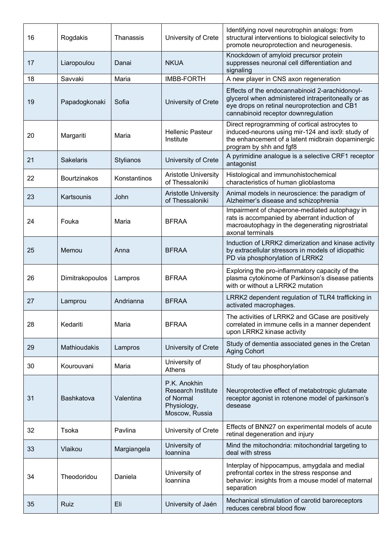| 16 | Rogdakis            | Thanassis        | University of Crete                                                                     | Identifying novel neurotrophin analogs: from<br>structural interventions to biological selectivity to<br>promote neuroprotection and neurogenesis.                                          |
|----|---------------------|------------------|-----------------------------------------------------------------------------------------|---------------------------------------------------------------------------------------------------------------------------------------------------------------------------------------------|
| 17 | Liaropoulou         | Danai            | <b>NKUA</b>                                                                             | Knockdown of amyloid precursor protein<br>suppresses neuronal cell differentiation and<br>signaling                                                                                         |
| 18 | Savvaki             | Maria            | <b>IMBB-FORTH</b>                                                                       | A new player in CNS axon regeneration                                                                                                                                                       |
| 19 | Papadogkonaki       | Sofia            | University of Crete                                                                     | Effects of the endocannabinoid 2-arachidonoyl-<br>glycerol when administered intraperitoneally or as<br>eye drops on retinal neuroprotection and CB1<br>cannabinoid receptor downregulation |
| 20 | Margariti           | Maria            | <b>Hellenic Pasteur</b><br>Institute                                                    | Direct reprogramming of cortical astrocytes to<br>induced-neurons using mir-124 and isx9: study of<br>the enhancement of a latent midbrain dopaminergic<br>program by shh and fgf8          |
| 21 | Sakelaris           | <b>Stylianos</b> | University of Crete                                                                     | A pyrimidine analogue is a selective CRF1 receptor<br>antagonist                                                                                                                            |
| 22 | <b>Bourtzinakos</b> | Konstantinos     | <b>Aristotle University</b><br>of Thessaloniki                                          | Histological and immunohistochemical<br>characteristics of human glioblastoma                                                                                                               |
| 23 | Kartsounis          | John             | <b>Aristotle University</b><br>of Thessaloniki                                          | Animal models in neuroscience: the paradigm of<br>Alzheimer's disease and schizophrenia                                                                                                     |
| 24 | Fouka               | Maria            | <b>BFRAA</b>                                                                            | Impairment of chaperone-mediated autophagy in<br>rats is accompanied by aberrant induction of<br>macroautophagy in the degenerating nigrostriatal<br>axonal terminals                       |
| 25 | Memou               | Anna             | <b>BFRAA</b>                                                                            | Induction of LRRK2 dimerization and kinase activity<br>by extracellular stressors in models of idiopathic<br>PD via phosphorylation of LRRK2                                                |
| 26 | Dimitrakopoulos     | Lampros          | <b>BFRAA</b>                                                                            | Exploring the pro-inflammatory capacity of the<br>plasma cytokinome of Parkinson's disease patients<br>with or without a LRRK2 mutation                                                     |
| 27 | Lamprou             | Andrianna        | <b>BFRAA</b>                                                                            | LRRK2 dependent regulation of TLR4 trafficking in<br>activated macrophages.                                                                                                                 |
| 28 | Kedariti            | Maria            | <b>BFRAA</b>                                                                            | The activities of LRRK2 and GCase are positively<br>correlated in immune cells in a manner dependent<br>upon LRRK2 kinase activity                                                          |
| 29 | Mathioudakis        | Lampros          | University of Crete                                                                     | Study of dementia associated genes in the Cretan<br><b>Aging Cohort</b>                                                                                                                     |
| 30 | Kourouvani          | Maria            | University of<br>Athens                                                                 | Study of tau phosphorylation                                                                                                                                                                |
| 31 | <b>Bashkatova</b>   | Valentina        | P.K. Anokhin<br><b>Research Institute</b><br>of Normal<br>Physiology,<br>Moscow, Russia | Neuroprotective effect of metabotropic glutamate<br>receptor agonist in rotenone model of parkinson's<br>desease                                                                            |
| 32 | Tsoka               | Pavlina          | University of Crete                                                                     | Effects of BNN27 on experimental models of acute<br>retinal degeneration and injury                                                                                                         |
| 33 | Vlaikou             | Margiangela      | University of<br>loannina                                                               | Mind the mitochondria: mitochondrial targeting to<br>deal with stress                                                                                                                       |
| 34 | Theodoridou         | Daniela          | University of<br>Ioannina                                                               | Interplay of hippocampus, amygdala and medial<br>prefrontal cortex in the stress response and<br>behavior: insights from a mouse model of maternal<br>separation                            |
| 35 | Ruiz                | Eli              | University of Jaén                                                                      | Mechanical stimulation of carotid baroreceptors<br>reduces cerebral blood flow                                                                                                              |